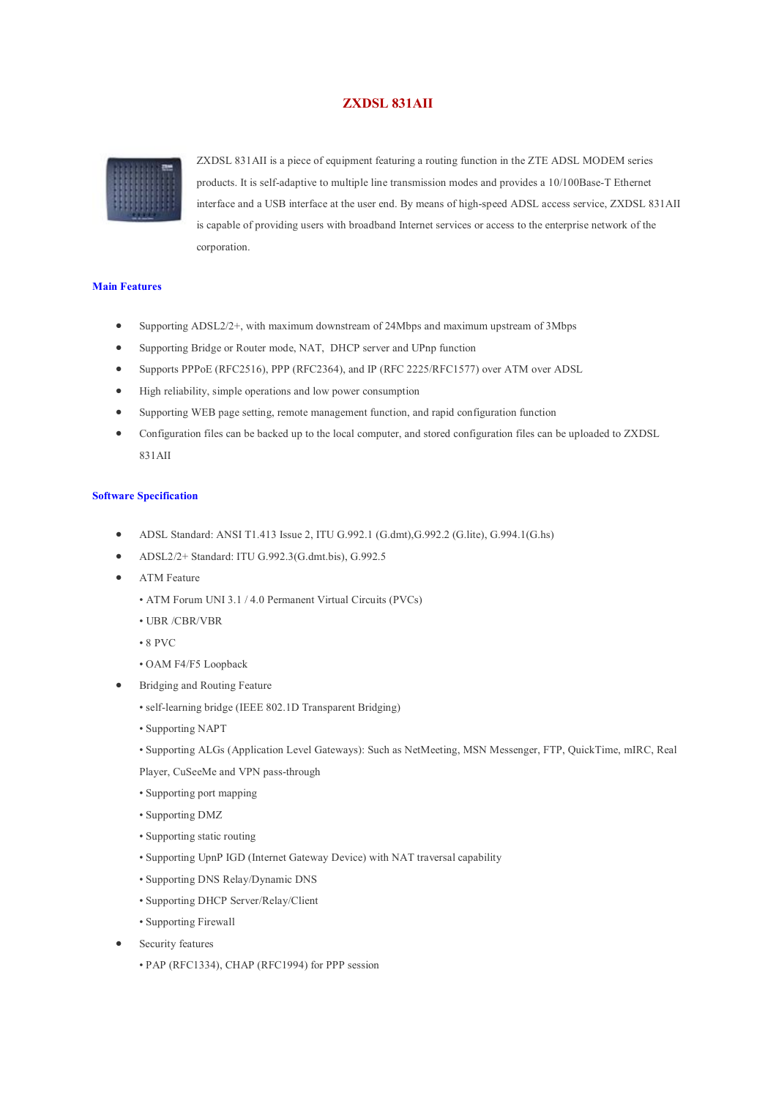## **ZXDSL 831AII**



ZXDSL 831AII is a piece of equipment featuring a routing function in the ZTE ADSL MODEM series products. It is self-adaptive to multiple line transmission modes and provides a 10/100Base-T Ethernet interface and a USB interface at the user end. By means of high-speed ADSL access service, ZXDSL 831AII is capable of providing users with broadband Internet services or access to the enterprise network of the corporation.

## **Main Features**

- Supporting ADSL2/2+, with maximum downstream of 24Mbps and maximum upstream of 3Mbps
- · Supporting Bridge or Router mode, NAT, DHCP server and UPnp function
- · Supports PPPoE (RFC2516), PPP (RFC2364), and IP (RFC 2225/RFC1577) over ATM over ADSL
- · High reliability, simple operations and low power consumption
- · Supporting WEB page setting, remote management function, and rapid configuration function
- · Configuration files can be backed up to the local computer, and stored configuration files can be uploaded to ZXDSL 831AII

## **Software Specification**

- · ADSL Standard: ANSI T1.413 Issue 2, ITU G.992.1 (G.dmt),G.992.2 (G.lite), G.994.1(G.hs)
- · ADSL2/2+ Standard: ITU G.992.3(G.dmt.bis), G.992.5
- ATM Feature
	- ATM Forum UNI 3.1 / 4.0 Permanent Virtual Circuits (PVCs)
	- UBR /CBR/VBR
	- 8 PVC
	- OAM F4/F5 Loopback
- · Bridging and Routing Feature
	- self-learning bridge (IEEE 802.1D Transparent Bridging)
	- Supporting NAPT
	- Supporting ALGs (Application Level Gateways): Such as NetMeeting, MSN Messenger, FTP, QuickTime, mIRC, Real
	- Player, CuSeeMe and VPN pass-through
	- Supporting port mapping
	- Supporting DMZ
	- Supporting static routing
	- Supporting UpnP IGD (Internet Gateway Device) with NAT traversal capability
	- Supporting DNS Relay/Dynamic DNS
	- Supporting DHCP Server/Relay/Client
	- Supporting Firewall
- Security features
	- PAP (RFC1334), CHAP (RFC1994) for PPP session